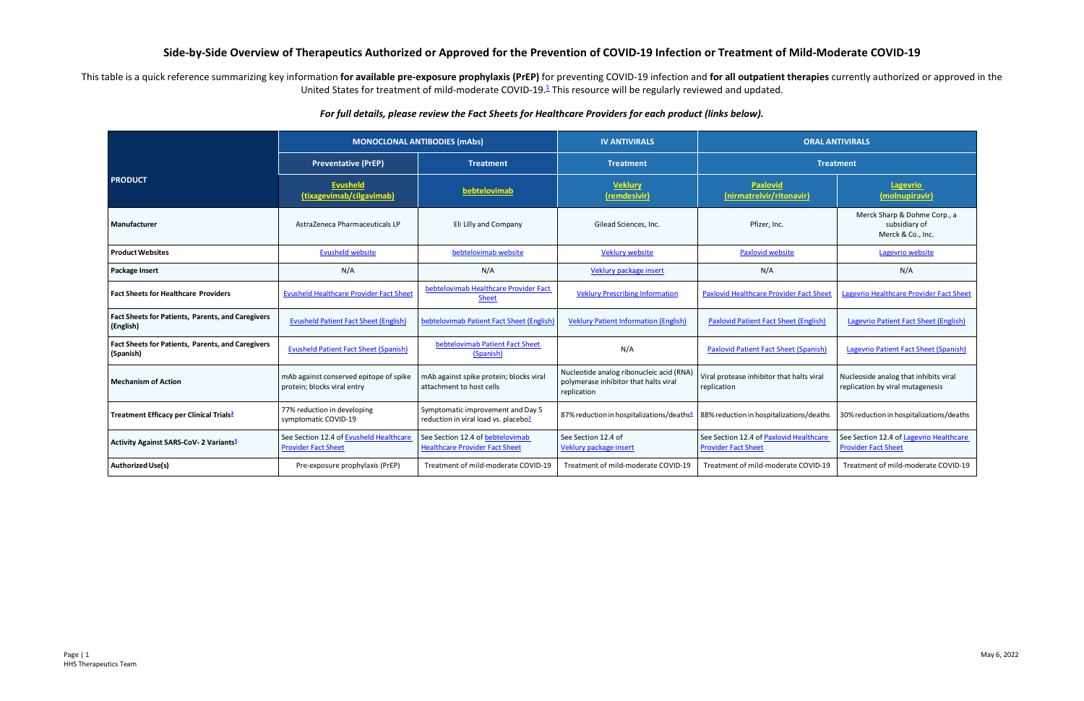## **Side-by-Side Overview of Therapeutics Authorized or Approved for the Prevention of COVID-19 Infection or Treatment of Mild-Moderate COVID-19**

This table is a quick reference summarizing key information for available pre-exposure prophylaxis (PrEP) for preventing COVID-19 infection and for all outpatient therapies currently authorized or approved in the United States for treatment of mild-moderate COVID-19.<sup>1</sup> This resource will be regularly reviewed and updated.

## *For full details, please review the Fact Sheets for Healthcare Providers for each product (links below).*

|                                                                | <b>MONOCLONAL ANTIBODIES (mAbs)</b>                                   |                                                                                       | <b>IV ANTIVIRALS</b>                                                                             | <b>ORAL ANTIVIRALS</b>                                                |                                                                           |
|----------------------------------------------------------------|-----------------------------------------------------------------------|---------------------------------------------------------------------------------------|--------------------------------------------------------------------------------------------------|-----------------------------------------------------------------------|---------------------------------------------------------------------------|
|                                                                | <b>Preventative (PrEP)</b>                                            | <b>Treatment</b>                                                                      | <b>Treatment</b>                                                                                 | <b>Treatment</b>                                                      |                                                                           |
| <b>PRODUCT</b>                                                 | <b>Evusheld</b><br>(tixagevimab/cilgavimab)                           | bebtelovimab                                                                          | <b>Veklury</b><br>(remdesivir)                                                                   | <b>Paxlovid</b><br>(nirmatrelvir/ritonavir)                           | Lagevrio<br>(molnupiravir)                                                |
| Manufacturer                                                   | AstraZeneca Pharmaceuticals LP                                        | Eli Lilly and Company                                                                 | Gilead Sciences, Inc.                                                                            | Pfizer, Inc.                                                          | Merck Sharp & Dohme Corp., a<br>subsidiary of<br>Merck & Co., Inc.        |
| <b>Product Websites</b>                                        | <b>Evusheld website</b>                                               | bebtelovimab website                                                                  | <b>Veklury website</b>                                                                           | Paxlovid website                                                      | Lagevrio website                                                          |
| Package Insert                                                 | N/A                                                                   | N/A                                                                                   | Veklury package insert                                                                           | N/A                                                                   | N/A                                                                       |
| <b>Fact Sheets for Healthcare Providers</b>                    | <b>Evusheld Healthcare Provider Fact Sheet</b>                        | bebtelovimab Healthcare Provider Fact<br><b>Sheet</b>                                 | <b>Veklury Prescribing Information</b>                                                           | <b>Paxlovid Healthcare Provider Fact Sheet</b>                        | Lagevrio Healthcare Provider Fact Sheet                                   |
| Fact Sheets for Patients, Parents, and Caregivers<br>(English) | <b>Evusheld Patient Fact Sheet (English)</b>                          | bebtelovimab Patient Fact Sheet (English                                              | <b>Veklury Patient Information (English)</b>                                                     | <b>Paxlovid Patient Fact Sheet (English)</b>                          | Lagevrio Patient Fact Sheet (English)                                     |
| Fact Sheets for Patients, Parents, and Caregivers<br>(Spanish) | <b>Evusheld Patient Fact Sheet (Spanish)</b>                          | bebtelovimab Patient Fact Sheet<br>(Spanish)                                          | N/A                                                                                              | <b>Paxlovid Patient Fact Sheet (Spanish)</b>                          | <b>Lagevrio Patient Fact Sheet (Spanish)</b>                              |
| <b>Mechanism of Action</b>                                     | mAb against conserved epitope of spike<br>protein; blocks viral entry | mAb against spike protein; blocks viral<br>attachment to host cells                   | Nucleotide analog ribonucleic acid (RNA)<br>polymerase inhibitor that halts viral<br>replication | Viral protease inhibitor that halts viral<br>replication              | Nucleoside analog that inhibits viral<br>replication by viral mutagenesis |
| Treatment Efficacy per Clinical Trials <sup>2</sup>            | 77% reduction in developing<br>symptomatic COVID-19                   | Symptomatic improvement and Day 5<br>reduction in viral load vs. placebo <sup>3</sup> | 87% reduction in hospitalizations/deaths <sup>4</sup>                                            | 88% reduction in hospitalizations/deaths                              | 30% reduction in hospitalizations/deaths                                  |
| Activity Against SARS-CoV- 2 Variants <sup>5</sup>             | See Section 12.4 of Evusheld Healthcare<br><b>Provider Fact Sheet</b> | See Section 12.4 of bebtelovimab<br><b>Healthcare Provider Fact Sheet</b>             | See Section 12.4 of<br>Veklury package insert                                                    | See Section 12.4 of Paxlovid Healthcare<br><b>Provider Fact Sheet</b> | See Section 12.4 of Lagevrio Healthcare<br><b>Provider Fact Sheet</b>     |
| <b>Authorized Use(s)</b>                                       | Pre-exposure prophylaxis (PrEP)                                       | Treatment of mild-moderate COVID-19                                                   | Treatment of mild-moderate COVID-19                                                              | Treatment of mild-moderate COVID-19                                   | Treatment of mild-moderate COVID-19                                       |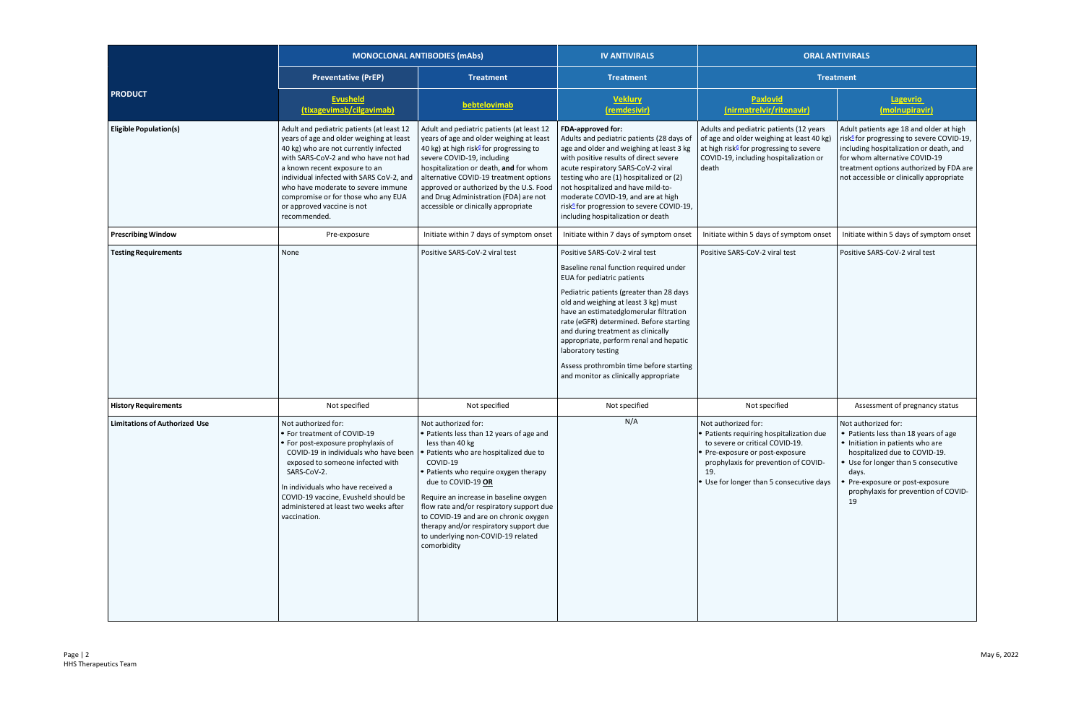|                                      | <b>MONOCLONAL ANTIBODIES (mAbs)</b>                                                                                                                                                                                                                                                                                                                                            |                                                                                                                                                                                                                                                                                                                                                                                                                                     | <b>IV ANTIVIRALS</b>                                                                                                                                                                                                                                                                                                                                                                                                                                                      | <b>ORAL ANTIVIRALS</b>                                                                                                                                                                                                            |                                                                                                                                                                                                                                                                     |
|--------------------------------------|--------------------------------------------------------------------------------------------------------------------------------------------------------------------------------------------------------------------------------------------------------------------------------------------------------------------------------------------------------------------------------|-------------------------------------------------------------------------------------------------------------------------------------------------------------------------------------------------------------------------------------------------------------------------------------------------------------------------------------------------------------------------------------------------------------------------------------|---------------------------------------------------------------------------------------------------------------------------------------------------------------------------------------------------------------------------------------------------------------------------------------------------------------------------------------------------------------------------------------------------------------------------------------------------------------------------|-----------------------------------------------------------------------------------------------------------------------------------------------------------------------------------------------------------------------------------|---------------------------------------------------------------------------------------------------------------------------------------------------------------------------------------------------------------------------------------------------------------------|
|                                      | <b>Preventative (PrEP)</b>                                                                                                                                                                                                                                                                                                                                                     | <b>Treatment</b>                                                                                                                                                                                                                                                                                                                                                                                                                    | <b>Treatment</b>                                                                                                                                                                                                                                                                                                                                                                                                                                                          | <b>Treatment</b>                                                                                                                                                                                                                  |                                                                                                                                                                                                                                                                     |
| <b>PRODUCT</b>                       | <b>Evusheld</b><br>(tixagevimab/cilgavimab)                                                                                                                                                                                                                                                                                                                                    | bebtelovimab                                                                                                                                                                                                                                                                                                                                                                                                                        | <b>Veklury</b><br>(remdesivir)                                                                                                                                                                                                                                                                                                                                                                                                                                            | Paxlovid<br>(nirmatrelvir/ritonavir)                                                                                                                                                                                              | Lagevrio<br>(molnupiravir)                                                                                                                                                                                                                                          |
| <b>Eligible Population(s)</b>        | Adult and pediatric patients (at least 12<br>years of age and older weighing at least<br>40 kg) who are not currently infected<br>with SARS-CoV-2 and who have not had<br>a known recent exposure to an<br>individual infected with SARS CoV-2, and<br>who have moderate to severe immune<br>compromise or for those who any EUA<br>or approved vaccine is not<br>recommended. | Adult and pediatric patients (at least 12<br>years of age and older weighing at least<br>40 kg) at high risk <sup>6</sup> for progressing to<br>severe COVID-19, including<br>hospitalization or death, and for whom<br>alternative COVID-19 treatment options<br>approved or authorized by the U.S. Food<br>and Drug Administration (FDA) are not<br>accessible or clinically appropriate                                          | FDA-approved for:<br>Adults and pediatric patients (28 days of<br>age and older and weighing at least 3 kg<br>with positive results of direct severe<br>acute respiratory SARS-CoV-2 viral<br>testing who are (1) hospitalized or (2)<br>not hospitalized and have mild-to-<br>moderate COVID-19, and are at high<br>risk <sup>6</sup> for progression to severe COVID-19,<br>including hospitalization or death                                                          | Adults and pediatric patients (12 years<br>of age and older weighing at least 40 kg)<br>at high risk <sup>6</sup> for progressing to severe<br>COVID-19, including hospitalization or<br>death                                    | Adult patients age 18 and older at high<br>risk <sup>6</sup> for progressing to severe COVID-19,<br>including hospitalization or death, and<br>for whom alternative COVID-19<br>treatment options authorized by FDA are<br>not accessible or clinically appropriate |
| <b>Prescribing Window</b>            | Pre-exposure                                                                                                                                                                                                                                                                                                                                                                   | Initiate within 7 days of symptom onset                                                                                                                                                                                                                                                                                                                                                                                             | Initiate within 7 days of symptom onset                                                                                                                                                                                                                                                                                                                                                                                                                                   | Initiate within 5 days of symptom onset                                                                                                                                                                                           | Initiate within 5 days of symptom onset                                                                                                                                                                                                                             |
| <b>Testing Requirements</b>          | None                                                                                                                                                                                                                                                                                                                                                                           | Positive SARS-CoV-2 viral test                                                                                                                                                                                                                                                                                                                                                                                                      | Positive SARS-CoV-2 viral test<br>Baseline renal function required under<br>EUA for pediatric patients<br>Pediatric patients (greater than 28 days<br>old and weighing at least 3 kg) must<br>have an estimatedglomerular filtration<br>rate (eGFR) determined. Before starting<br>and during treatment as clinically<br>appropriate, perform renal and hepatic<br>laboratory testing<br>Assess prothrombin time before starting<br>and monitor as clinically appropriate | Positive SARS-CoV-2 viral test                                                                                                                                                                                                    | Positive SARS-CoV-2 viral test                                                                                                                                                                                                                                      |
| <b>History Requirements</b>          | Not specified                                                                                                                                                                                                                                                                                                                                                                  | Not specified                                                                                                                                                                                                                                                                                                                                                                                                                       | Not specified                                                                                                                                                                                                                                                                                                                                                                                                                                                             | Not specified                                                                                                                                                                                                                     | Assessment of pregnancy status                                                                                                                                                                                                                                      |
| <b>Limitations of Authorized Use</b> | Not authorized for:<br>• For treatment of COVID-19<br>• For post-exposure prophylaxis of<br>COVID-19 in individuals who have been<br>exposed to someone infected with<br>SARS-CoV-2.<br>In individuals who have received a<br>COVID-19 vaccine, Evusheld should be<br>administered at least two weeks after<br>vaccination.                                                    | Not authorized for:<br>• Patients less than 12 years of age and<br>less than 40 kg<br>Patients who are hospitalized due to<br>COVID-19<br>• Patients who require oxygen therapy<br>due to COVID-19 OR<br>Require an increase in baseline oxygen<br>flow rate and/or respiratory support due<br>to COVID-19 and are on chronic oxygen<br>therapy and/or respiratory support due<br>to underlying non-COVID-19 related<br>comorbidity | N/A                                                                                                                                                                                                                                                                                                                                                                                                                                                                       | Not authorized for:<br>• Patients requiring hospitalization due<br>to severe or critical COVID-19.<br>• Pre-exposure or post-exposure<br>prophylaxis for prevention of COVID-<br>-19.<br>• Use for longer than 5 consecutive days | Not authorized for:<br>• Patients less than 18 years of age<br>• Initiation in patients who are<br>hospitalized due to COVID-19.<br>• Use for longer than 5 consecutive<br>days.<br>Pre-exposure or post-exposure<br>prophylaxis for prevention of COVID-<br>19     |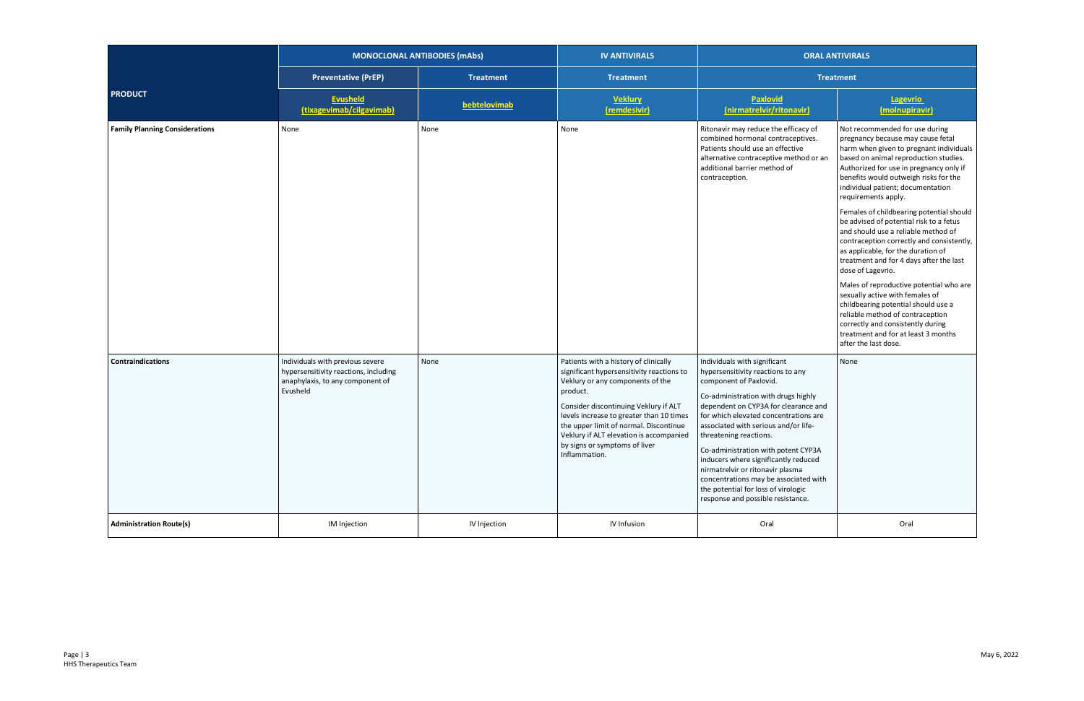|                                       | <b>MONOCLONAL ANTIBODIES (mAbs)</b>                                                                                       |                  | <b>IV ANTIVIRALS</b>                                                                                                                                                                                                                                                                                                                                           | <b>ORAL ANTIVIRALS</b>                                                                                                                                                                                                                                                                                                                                                                                                                                                                                                        |                                                                                                                                                                                                                                                                                                                                                                                                                                                                                                                                                                                                                                                                                                                                                                                                                                                       |
|---------------------------------------|---------------------------------------------------------------------------------------------------------------------------|------------------|----------------------------------------------------------------------------------------------------------------------------------------------------------------------------------------------------------------------------------------------------------------------------------------------------------------------------------------------------------------|-------------------------------------------------------------------------------------------------------------------------------------------------------------------------------------------------------------------------------------------------------------------------------------------------------------------------------------------------------------------------------------------------------------------------------------------------------------------------------------------------------------------------------|-------------------------------------------------------------------------------------------------------------------------------------------------------------------------------------------------------------------------------------------------------------------------------------------------------------------------------------------------------------------------------------------------------------------------------------------------------------------------------------------------------------------------------------------------------------------------------------------------------------------------------------------------------------------------------------------------------------------------------------------------------------------------------------------------------------------------------------------------------|
|                                       | <b>Preventative (PrEP)</b>                                                                                                | <b>Treatment</b> | <b>Treatment</b>                                                                                                                                                                                                                                                                                                                                               | <b>Treatment</b>                                                                                                                                                                                                                                                                                                                                                                                                                                                                                                              |                                                                                                                                                                                                                                                                                                                                                                                                                                                                                                                                                                                                                                                                                                                                                                                                                                                       |
| <b>PRODUCT</b>                        | <b>Evusheld</b><br>(tixagevimab/cilgavimab)                                                                               | bebtelovimab     | <b>Veklury</b><br>(remdesivir)                                                                                                                                                                                                                                                                                                                                 | Paxlovid<br>(nirmatrelvir/ritonavir)                                                                                                                                                                                                                                                                                                                                                                                                                                                                                          | Lagevrio<br>(molnupiravir)                                                                                                                                                                                                                                                                                                                                                                                                                                                                                                                                                                                                                                                                                                                                                                                                                            |
| <b>Family Planning Considerations</b> | None                                                                                                                      | None             | None                                                                                                                                                                                                                                                                                                                                                           | Ritonavir may reduce the efficacy of<br>combined hormonal contraceptives.<br>Patients should use an effective<br>alternative contraceptive method or an<br>additional barrier method of<br>contraception.                                                                                                                                                                                                                                                                                                                     | Not recommended for use during<br>pregnancy because may cause fetal<br>harm when given to pregnant individuals<br>based on animal reproduction studies.<br>Authorized for use in pregnancy only if<br>benefits would outweigh risks for the<br>individual patient; documentation<br>requirements apply.<br>Females of childbearing potential should<br>be advised of potential risk to a fetus<br>and should use a reliable method of<br>contraception correctly and consistently,<br>as applicable, for the duration of<br>treatment and for 4 days after the last<br>dose of Lagevrio.<br>Males of reproductive potential who are<br>sexually active with females of<br>childbearing potential should use a<br>reliable method of contraception<br>correctly and consistently during<br>treatment and for at least 3 months<br>after the last dose. |
| <b>Contraindications</b>              | Individuals with previous severe<br>hypersensitivity reactions, including<br>anaphylaxis, to any component of<br>Evusheld | None             | Patients with a history of clinically<br>significant hypersensitivity reactions to<br>Veklury or any components of the<br>product.<br>Consider discontinuing Veklury if ALT<br>levels increase to greater than 10 times<br>the upper limit of normal. Discontinue<br>Veklury if ALT elevation is accompanied<br>by signs or symptoms of liver<br>Inflammation. | Individuals with significant<br>hypersensitivity reactions to any<br>component of Paxlovid.<br>Co-administration with drugs highly<br>dependent on CYP3A for clearance and<br>for which elevated concentrations are<br>associated with serious and/or life-<br>threatening reactions.<br>Co-administration with potent CYP3A<br>inducers where significantly reduced<br>nirmatrelvir or ritonavir plasma<br>concentrations may be associated with<br>the potential for loss of virologic<br>response and possible resistance. | None                                                                                                                                                                                                                                                                                                                                                                                                                                                                                                                                                                                                                                                                                                                                                                                                                                                  |
| <b>Administration Route(s)</b>        | IM Injection                                                                                                              | IV Injection     | IV Infusion                                                                                                                                                                                                                                                                                                                                                    | Oral                                                                                                                                                                                                                                                                                                                                                                                                                                                                                                                          | Oral                                                                                                                                                                                                                                                                                                                                                                                                                                                                                                                                                                                                                                                                                                                                                                                                                                                  |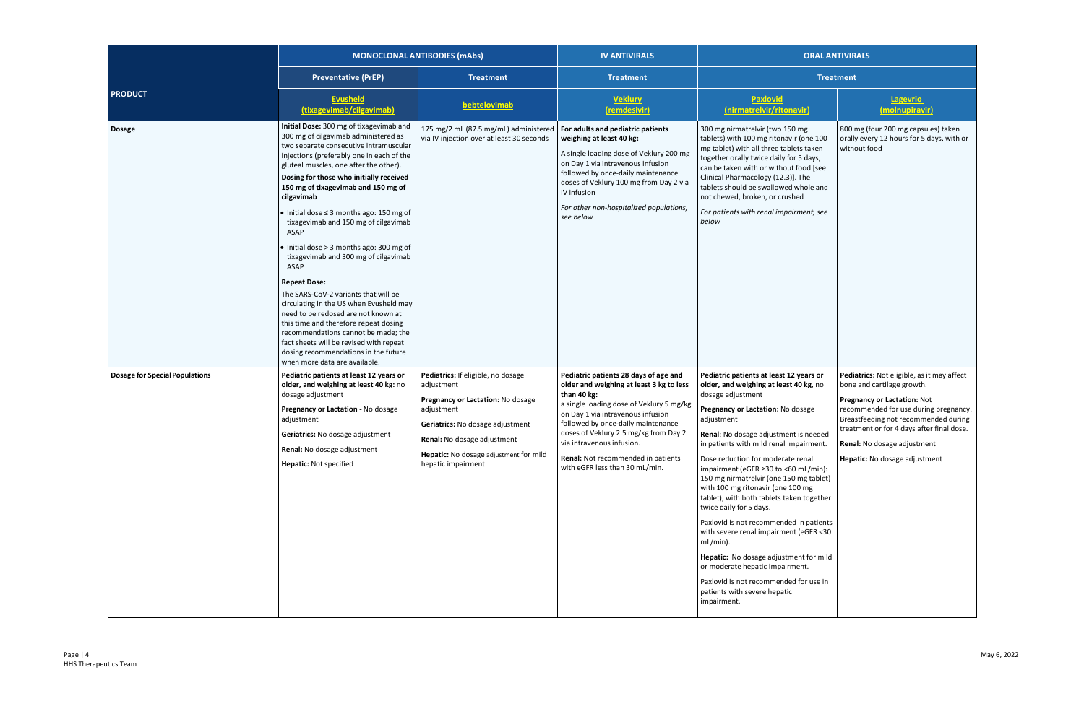|                                       | <b>MONOCLONAL ANTIBODIES (mAbs)</b>                                                                                                                                                                                                                                                                                                                                                                                                                                                                                                                                                                                                                                                                                                                                                                                                                                               |                                                                                                                                                                                                                                        | <b>IV ANTIVIRALS</b>                                                                                                                                                                                                                                                                                                                                                  | <b>ORAL ANTIVIRALS</b>                                                                                                                                                                                                                                                                                                                                                                                                                                                                                                                                                                                                                                                                                                                                    |                                                                                                                                                                                                                                                                                                       |
|---------------------------------------|-----------------------------------------------------------------------------------------------------------------------------------------------------------------------------------------------------------------------------------------------------------------------------------------------------------------------------------------------------------------------------------------------------------------------------------------------------------------------------------------------------------------------------------------------------------------------------------------------------------------------------------------------------------------------------------------------------------------------------------------------------------------------------------------------------------------------------------------------------------------------------------|----------------------------------------------------------------------------------------------------------------------------------------------------------------------------------------------------------------------------------------|-----------------------------------------------------------------------------------------------------------------------------------------------------------------------------------------------------------------------------------------------------------------------------------------------------------------------------------------------------------------------|-----------------------------------------------------------------------------------------------------------------------------------------------------------------------------------------------------------------------------------------------------------------------------------------------------------------------------------------------------------------------------------------------------------------------------------------------------------------------------------------------------------------------------------------------------------------------------------------------------------------------------------------------------------------------------------------------------------------------------------------------------------|-------------------------------------------------------------------------------------------------------------------------------------------------------------------------------------------------------------------------------------------------------------------------------------------------------|
| <b>PRODUCT</b>                        | <b>Preventative (PrEP)</b>                                                                                                                                                                                                                                                                                                                                                                                                                                                                                                                                                                                                                                                                                                                                                                                                                                                        | <b>Treatment</b>                                                                                                                                                                                                                       | <b>Treatment</b>                                                                                                                                                                                                                                                                                                                                                      | <b>Treatment</b>                                                                                                                                                                                                                                                                                                                                                                                                                                                                                                                                                                                                                                                                                                                                          |                                                                                                                                                                                                                                                                                                       |
|                                       | <b>Evusheld</b><br>(tixagevimab/cilgavimab)                                                                                                                                                                                                                                                                                                                                                                                                                                                                                                                                                                                                                                                                                                                                                                                                                                       | bebtelovimab                                                                                                                                                                                                                           | <b>Veklury</b><br>(remdesivir)                                                                                                                                                                                                                                                                                                                                        | Paxlovid<br>(nirmatrelvir/ritonavir)                                                                                                                                                                                                                                                                                                                                                                                                                                                                                                                                                                                                                                                                                                                      | <b>Lagevrio</b><br>(molnupiravir)                                                                                                                                                                                                                                                                     |
| <b>Dosage</b>                         | Initial Dose: 300 mg of tixagevimab and<br>300 mg of cilgavimab administered as<br>two separate consecutive intramuscular<br>injections (preferably one in each of the<br>gluteal muscles, one after the other).<br>Dosing for those who initially received<br>150 mg of tixagevimab and 150 mg of<br>cilgavimab<br>$\bullet$ Initial dose $\leq$ 3 months ago: 150 mg of<br>tixagevimab and 150 mg of cilgavimab<br>ASAP<br>• Initial dose > 3 months ago: 300 mg of<br>tixagevimab and 300 mg of cilgavimab<br><b>ASAP</b><br><b>Repeat Dose:</b><br>The SARS-CoV-2 variants that will be<br>circulating in the US when Evusheld may<br>need to be redosed are not known at<br>this time and therefore repeat dosing<br>recommendations cannot be made; the<br>fact sheets will be revised with repeat<br>dosing recommendations in the future<br>when more data are available. | 175 mg/2 mL (87.5 mg/mL) administered<br>via IV injection over at least 30 seconds                                                                                                                                                     | For adults and pediatric patients<br>weighing at least 40 kg:<br>A single loading dose of Veklury 200 mg<br>on Day 1 via intravenous infusion<br>followed by once-daily maintenance<br>doses of Veklury 100 mg from Day 2 via<br>IV infusion<br>For other non-hospitalized populations,<br>see below                                                                  | 300 mg nirmatrelvir (two 150 mg<br>tablets) with 100 mg ritonavir (one 100<br>mg tablet) with all three tablets taken<br>together orally twice daily for 5 days,<br>can be taken with or without food [see<br>Clinical Pharmacology (12.3)]. The<br>tablets should be swallowed whole and<br>not chewed, broken, or crushed<br>For patients with renal impairment, see<br>below                                                                                                                                                                                                                                                                                                                                                                           | 800 mg (four 200 mg capsules) taken<br>orally every 12 hours for 5 days, with or<br>without food                                                                                                                                                                                                      |
| <b>Dosage for Special Populations</b> | Pediatric patients at least 12 years or<br>older, and weighing at least 40 kg: no<br>dosage adjustment<br>Pregnancy or Lactation - No dosage<br>adjustment<br><b>Geriatrics:</b> No dosage adjustment<br>Renal: No dosage adjustment<br>Hepatic: Not specified                                                                                                                                                                                                                                                                                                                                                                                                                                                                                                                                                                                                                    | Pediatrics: If eligible, no dosage<br>adjustment<br>Pregnancy or Lactation: No dosage<br>adjustment<br>Geriatrics: No dosage adjustment<br>Renal: No dosage adjustment<br>Hepatic: No dosage adjustment for mild<br>hepatic impairment | Pediatric patients 28 days of age and<br>older and weighing at least 3 kg to less<br>than 40 kg:<br>a single loading dose of Veklury 5 mg/kg<br>on Day 1 via intravenous infusion<br>followed by once-daily maintenance<br>doses of Veklury 2.5 mg/kg from Day 2<br>via intravenous infusion.<br>Renal: Not recommended in patients<br>with eGFR less than 30 mL/min. | Pediatric patients at least 12 years or<br>older, and weighing at least 40 kg, no<br>dosage adjustment<br>Pregnancy or Lactation: No dosage<br>adjustment<br>Renal: No dosage adjustment is needed<br>in patients with mild renal impairment.<br>Dose reduction for moderate renal<br>impairment (eGFR ≥30 to <60 mL/min):<br>150 mg nirmatrelvir (one 150 mg tablet)<br>with 100 mg ritonavir (one 100 mg<br>tablet), with both tablets taken together<br>twice daily for 5 days.<br>Paxlovid is not recommended in patients<br>with severe renal impairment (eGFR <30<br>mL/min).<br>Hepatic: No dosage adjustment for mild<br>or moderate hepatic impairment.<br>Paxlovid is not recommended for use in<br>patients with severe hepatic<br>impairment. | Pediatrics: Not eligible, as it may affect<br>bone and cartilage growth.<br>Pregnancy or Lactation: Not<br>recommended for use during pregnancy.<br>Breastfeeding not recommended during<br>treatment or for 4 days after final dose.<br>Renal: No dosage adjustment<br>Hepatic: No dosage adjustment |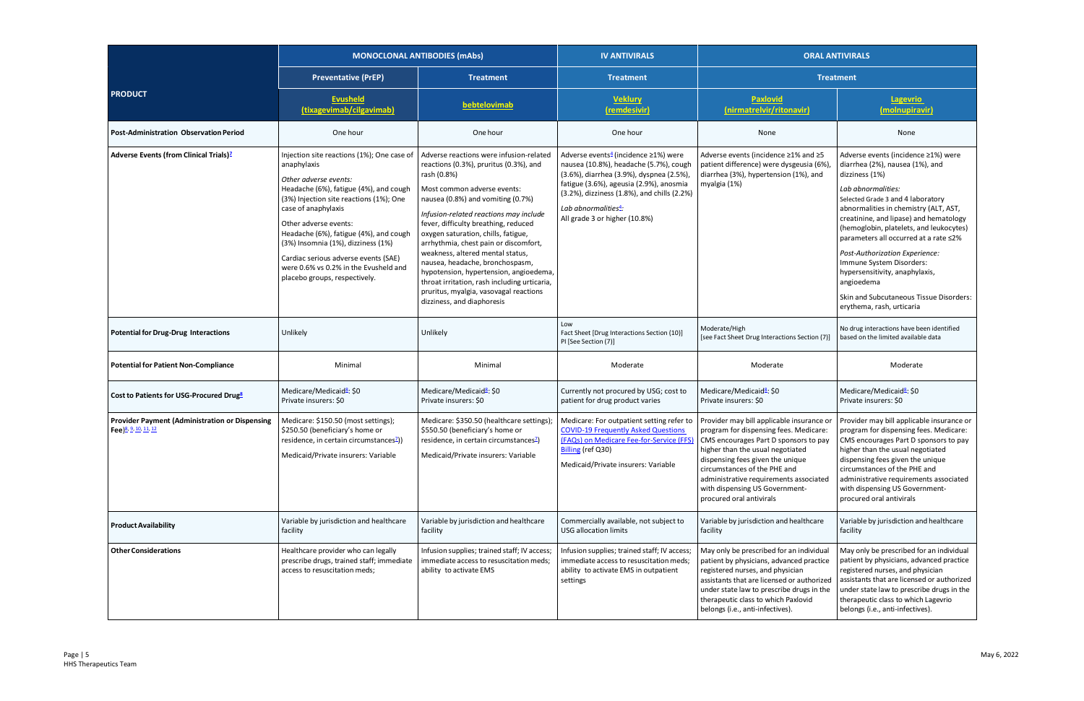|                                                                                           | <b>MONOCLONAL ANTIBODIES (mAbs)</b>                                                                                                                                                                                                                                                                                                                                                                                       |                                                                                                                                                                                                                                                                                                                                                                                                                                                                                                                                                                                 | <b>IV ANTIVIRALS</b>                                                                                                                                                                                                                                                                         | <b>ORAL ANTIVIRALS</b>                                                                                                                                                                                                                                                                              |                                                                                                                                                                                                                                                                                                                                                                                                                                                                                                                  |
|-------------------------------------------------------------------------------------------|---------------------------------------------------------------------------------------------------------------------------------------------------------------------------------------------------------------------------------------------------------------------------------------------------------------------------------------------------------------------------------------------------------------------------|---------------------------------------------------------------------------------------------------------------------------------------------------------------------------------------------------------------------------------------------------------------------------------------------------------------------------------------------------------------------------------------------------------------------------------------------------------------------------------------------------------------------------------------------------------------------------------|----------------------------------------------------------------------------------------------------------------------------------------------------------------------------------------------------------------------------------------------------------------------------------------------|-----------------------------------------------------------------------------------------------------------------------------------------------------------------------------------------------------------------------------------------------------------------------------------------------------|------------------------------------------------------------------------------------------------------------------------------------------------------------------------------------------------------------------------------------------------------------------------------------------------------------------------------------------------------------------------------------------------------------------------------------------------------------------------------------------------------------------|
| <b>PRODUCT</b>                                                                            | <b>Preventative (PrEP)</b>                                                                                                                                                                                                                                                                                                                                                                                                | <b>Treatment</b>                                                                                                                                                                                                                                                                                                                                                                                                                                                                                                                                                                | <b>Treatment</b>                                                                                                                                                                                                                                                                             |                                                                                                                                                                                                                                                                                                     | <b>Treatment</b>                                                                                                                                                                                                                                                                                                                                                                                                                                                                                                 |
|                                                                                           | <b>Evusheld</b><br>(tixagevimab/cilgavimab)                                                                                                                                                                                                                                                                                                                                                                               | bebtelovimab                                                                                                                                                                                                                                                                                                                                                                                                                                                                                                                                                                    | <b>Veklury</b><br>(remdesivir)                                                                                                                                                                                                                                                               | Paxlovid<br>(nirmatrelvir/ritonavir)                                                                                                                                                                                                                                                                | <b>Lagevrio</b><br>(molnupiravir)                                                                                                                                                                                                                                                                                                                                                                                                                                                                                |
| <b>Post-Administration Observation Period</b>                                             | One hour                                                                                                                                                                                                                                                                                                                                                                                                                  | One hour                                                                                                                                                                                                                                                                                                                                                                                                                                                                                                                                                                        | One hour                                                                                                                                                                                                                                                                                     | None                                                                                                                                                                                                                                                                                                | None                                                                                                                                                                                                                                                                                                                                                                                                                                                                                                             |
| <b>Adverse Events (from Clinical Trials)<sup>2</sup></b>                                  | Injection site reactions (1%); One case of<br>anaphylaxis<br>Other adverse events:<br>Headache (6%), fatigue (4%), and cough<br>(3%) Injection site reactions (1%); One<br>case of anaphylaxis<br>Other adverse events:<br>Headache (6%), fatigue (4%), and cough<br>(3%) Insomnia (1%), dizziness (1%)<br>Cardiac serious adverse events (SAE)<br>were 0.6% vs 0.2% in the Evusheld and<br>placebo groups, respectively. | Adverse reactions were infusion-related<br>reactions (0.3%), pruritus (0.3%), and<br>rash (0.8%)<br>Most common adverse events:<br>nausea (0.8%) and vomiting (0.7%)<br>Infusion-related reactions may include<br>fever, difficulty breathing, reduced<br>oxygen saturation, chills, fatigue,<br>arrhythmia, chest pain or discomfort,<br>weakness, altered mental status,<br>nausea, headache, bronchospasm,<br>hypotension, hypertension, angioedema,<br>throat irritation, rash including urticaria,<br>pruritus, myalgia, vasovagal reactions<br>dizziness, and diaphoresis | Adverse events <sup>4</sup> (incidence ≥1%) were<br>nausea (10.8%), headache (5.7%), cough<br>(3.6%), diarrhea (3.9%), dyspnea (2.5%),<br>fatigue (3.6%), ageusia (2.9%), anosmia<br>(3.2%), dizziness (1.8%), and chills (2.2%)<br>Lab abnormalities $4$ :<br>All grade 3 or higher (10.8%) | Adverse events (incidence ≥1% and ≥5<br>patient difference) were dysgeusia (6%)<br>diarrhea (3%), hypertension (1%), and<br>myalgia (1%)                                                                                                                                                            | Adverse events (incidence ≥1%) were<br>diarrhea (2%), nausea (1%), and<br>dizziness (1%)<br>Lab abnormalities:<br>Selected Grade 3 and 4 laboratory<br>abnormalities in chemistry (ALT, AST,<br>creatinine, and lipase) and hematology<br>(hemoglobin, platelets, and leukocytes)<br>parameters all occurred at a rate ≤2%<br>Post-Authorization Experience:<br>Immune System Disorders:<br>hypersensitivity, anaphylaxis,<br>angioedema<br>Skin and Subcutaneous Tissue Disorders:<br>erythema, rash, urticaria |
| <b>Potential for Drug-Drug Interactions</b>                                               | Unlikely                                                                                                                                                                                                                                                                                                                                                                                                                  | Unlikely                                                                                                                                                                                                                                                                                                                                                                                                                                                                                                                                                                        | Low<br>Fact Sheet [Drug Interactions Section (10)]<br>PI [See Section (7)]                                                                                                                                                                                                                   | Moderate/High<br>[see Fact Sheet Drug Interactions Section (7)]                                                                                                                                                                                                                                     | No drug interactions have been identified<br>based on the limited available data                                                                                                                                                                                                                                                                                                                                                                                                                                 |
| <b>Potential for Patient Non-Compliance</b>                                               | Minimal                                                                                                                                                                                                                                                                                                                                                                                                                   | Minimal                                                                                                                                                                                                                                                                                                                                                                                                                                                                                                                                                                         | Moderate                                                                                                                                                                                                                                                                                     | Moderate                                                                                                                                                                                                                                                                                            | Moderate                                                                                                                                                                                                                                                                                                                                                                                                                                                                                                         |
| Cost to Patients for USG-Procured Drug <sup>8</sup>                                       | Medicare/Medicaid <sup>8</sup> : \$0<br>Private insurers: \$0                                                                                                                                                                                                                                                                                                                                                             | Medicare/Medicaid <sup>8</sup> : \$0<br>Private insurers: \$0                                                                                                                                                                                                                                                                                                                                                                                                                                                                                                                   | Currently not procured by USG; cost to<br>patient for drug product varies                                                                                                                                                                                                                    | Medicare/Medicaid <sup>8</sup> : \$0<br>Private insurers: \$0                                                                                                                                                                                                                                       | Medicare/Medicaid <sup>8</sup> : \$0<br>Private insurers: \$0                                                                                                                                                                                                                                                                                                                                                                                                                                                    |
| <b>Provider Payment (Administration or Dispensing</b><br>Fee) <sup>8, 9, 10, 11, 12</sup> | Medicare: \$150.50 (most settings);<br>\$250.50 (beneficiary's home or<br>residence, in certain circumstances <sup>2</sup> ))<br>Medicaid/Private insurers: Variable                                                                                                                                                                                                                                                      | Medicare: \$350.50 (healthcare settings)<br>\$550.50 (beneficiary's home or<br>residence, in certain circumstances <sup>2</sup> )<br>Medicaid/Private insurers: Variable                                                                                                                                                                                                                                                                                                                                                                                                        | Medicare: For outpatient setting refer to<br><b>COVID-19 Frequently Asked Questions</b><br>(FAQs) on Medicare Fee-for-Service (FFS) CMS encourages Part D sponsors to pay<br>Billing (ref Q30)<br>Medicaid/Private insurers: Variable                                                        | Provider may bill applicable insurance or<br>program for dispensing fees. Medicare:<br>higher than the usual negotiated<br>dispensing fees given the unique<br>circumstances of the PHE and<br>administrative requirements associated<br>with dispensing US Government-<br>procured oral antivirals | Provider may bill applicable insurance or<br>program for dispensing fees. Medicare:<br>CMS encourages Part D sponsors to pay<br>higher than the usual negotiated<br>dispensing fees given the unique<br>circumstances of the PHE and<br>administrative requirements associated<br>with dispensing US Government-<br>procured oral antivirals                                                                                                                                                                     |
| <b>Product Availability</b>                                                               | Variable by jurisdiction and healthcare<br>facility                                                                                                                                                                                                                                                                                                                                                                       | Variable by jurisdiction and healthcare<br>facility                                                                                                                                                                                                                                                                                                                                                                                                                                                                                                                             | Commercially available, not subject to<br><b>USG allocation limits</b>                                                                                                                                                                                                                       | Variable by jurisdiction and healthcare<br>facility                                                                                                                                                                                                                                                 | Variable by jurisdiction and healthcare<br>facility                                                                                                                                                                                                                                                                                                                                                                                                                                                              |
| <b>Other Considerations</b>                                                               | Healthcare provider who can legally<br>prescribe drugs, trained staff; immediate<br>access to resuscitation meds;                                                                                                                                                                                                                                                                                                         | Infusion supplies; trained staff; IV access;<br>immediate access to resuscitation meds;<br>ability to activate EMS                                                                                                                                                                                                                                                                                                                                                                                                                                                              | Infusion supplies; trained staff; IV access;<br>immediate access to resuscitation meds;<br>ability to activate EMS in outpatient<br>settings                                                                                                                                                 | May only be prescribed for an individual<br>patient by physicians, advanced practice<br>registered nurses, and physician<br>assistants that are licensed or authorized<br>under state law to prescribe drugs in the<br>therapeutic class to which Paxlovid<br>belongs (i.e., anti-infectives).      | May only be prescribed for an individual<br>patient by physicians, advanced practice<br>registered nurses, and physician<br>assistants that are licensed or authorized<br>under state law to prescribe drugs in the<br>therapeutic class to which Lagevrio<br>belongs (i.e., anti-infectives).                                                                                                                                                                                                                   |